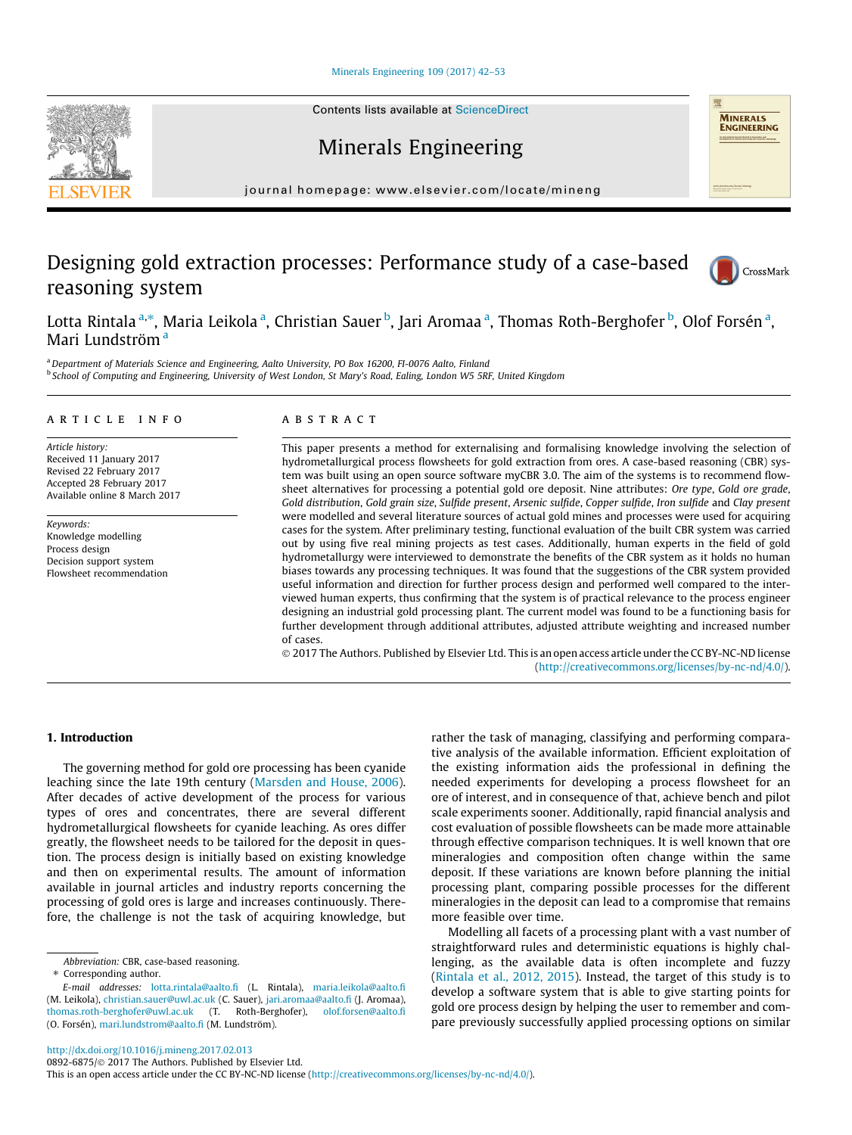## [Minerals Engineering 109 \(2017\) 42–53](http://dx.doi.org/10.1016/j.mineng.2017.02.013)

Minerals Engineering

journal homepage: [www.elsevier.com/locate/mineng](http://www.elsevier.com/locate/mineng)

# Designing gold extraction processes: Performance study of a case-based reasoning system

Lotta Rintala <sup>a,</sup>\*, Maria Leikola <sup>a</sup>, Christian Sauer <sup>b</sup>, Jari Aromaa <sup>a</sup>, Thomas Roth-Berghofer <sup>b</sup>, Olof Forsén <sup>a</sup>, Mari Lundström<sup>a</sup>

a Department of Materials Science and Engineering, Aalto University, PO Box 16200, FI-0076 Aalto, Finland <sup>b</sup> School of Computing and Engineering, University of West London, St Mary's Road, Ealing, London W5 5RF, United Kingdom

### article info

Article history: Received 11 January 2017 Revised 22 February 2017 Accepted 28 February 2017 Available online 8 March 2017

Keywords: Knowledge modelling Process design Decision support system Flowsheet recommendation

# ABSTRACT

This paper presents a method for externalising and formalising knowledge involving the selection of hydrometallurgical process flowsheets for gold extraction from ores. A case-based reasoning (CBR) system was built using an open source software myCBR 3.0. The aim of the systems is to recommend flowsheet alternatives for processing a potential gold ore deposit. Nine attributes: Ore type, Gold ore grade, Gold distribution, Gold grain size, Sulfide present, Arsenic sulfide, Copper sulfide, Iron sulfide and Clay present were modelled and several literature sources of actual gold mines and processes were used for acquiring cases for the system. After preliminary testing, functional evaluation of the built CBR system was carried out by using five real mining projects as test cases. Additionally, human experts in the field of gold hydrometallurgy were interviewed to demonstrate the benefits of the CBR system as it holds no human biases towards any processing techniques. It was found that the suggestions of the CBR system provided useful information and direction for further process design and performed well compared to the interviewed human experts, thus confirming that the system is of practical relevance to the process engineer designing an industrial gold processing plant. The current model was found to be a functioning basis for further development through additional attributes, adjusted attribute weighting and increased number of cases.

 2017 The Authors. Published by Elsevier Ltd. This is an open access article under the CC BY-NC-ND license (<http://creativecommons.org/licenses/by-nc-nd/4.0/>).

## 1. Introduction

The governing method for gold ore processing has been cyanide leaching since the late 19th century [\(Marsden and House, 2006\)](#page-11-0). After decades of active development of the process for various types of ores and concentrates, there are several different hydrometallurgical flowsheets for cyanide leaching. As ores differ greatly, the flowsheet needs to be tailored for the deposit in question. The process design is initially based on existing knowledge and then on experimental results. The amount of information available in journal articles and industry reports concerning the processing of gold ores is large and increases continuously. Therefore, the challenge is not the task of acquiring knowledge, but

Abbreviation: CBR, case-based reasoning.

\* Corresponding author.

E-mail addresses: [lotta.rintala@aalto.fi](mailto:lotta.rintala@aalto.fi) (L. Rintala), [maria.leikola@aalto.fi](mailto:maria.leikola@aalto.fi) (M. Leikola), [christian.sauer@uwl.ac.uk](mailto:christian.sauer@uwl.ac.uk) (C. Sauer), [jari.aromaa@aalto.fi](mailto:jari.aromaa@aalto.fi) (J. Aromaa), [thomas.roth-berghofer@uwl.ac.uk](mailto:thomas.roth-berghofer@uwl.ac.uk) (T. Roth-Berghofer), [olof.forsen@aalto.fi](mailto:olof.forsen@aalto.fi) (O. Forsén), [mari.lundstrom@aalto.fi](mailto:mari.lundstrom@aalto.fi) (M. Lundström).

the existing information aids the professional in defining the needed experiments for developing a process flowsheet for an ore of interest, and in consequence of that, achieve bench and pilot scale experiments sooner. Additionally, rapid financial analysis and cost evaluation of possible flowsheets can be made more attainable through effective comparison techniques. It is well known that ore mineralogies and composition often change within the same deposit. If these variations are known before planning the initial processing plant, comparing possible processes for the different mineralogies in the deposit can lead to a compromise that remains more feasible over time. Modelling all facets of a processing plant with a vast number of

straightforward rules and deterministic equations is highly challenging, as the available data is often incomplete and fuzzy ([Rintala et al., 2012, 2015\)](#page-11-0). Instead, the target of this study is to develop a software system that is able to give starting points for gold ore process design by helping the user to remember and compare previously successfully applied processing options on similar

rather the task of managing, classifying and performing comparative analysis of the available information. Efficient exploitation of





**MINERALS** ENGINEERING

This is an open access article under the CC BY-NC-ND license [\(http://creativecommons.org/licenses/by-nc-nd/4.0/](http://creativecommons.org/licenses/by-nc-nd/4.0/)).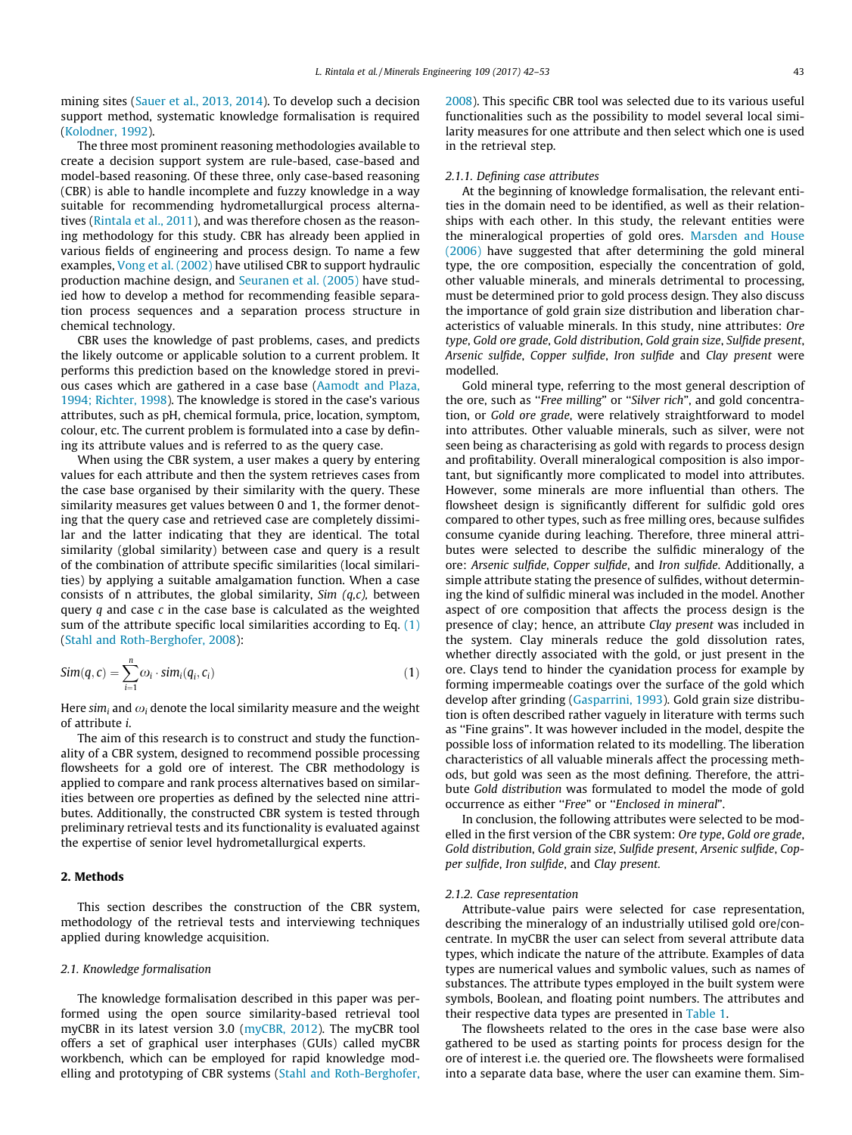<span id="page-1-0"></span>mining sites ([Sauer et al., 2013, 2014\)](#page-11-0). To develop such a decision support method, systematic knowledge formalisation is required ([Kolodner, 1992](#page-11-0)).

The three most prominent reasoning methodologies available to create a decision support system are rule-based, case-based and model-based reasoning. Of these three, only case-based reasoning (CBR) is able to handle incomplete and fuzzy knowledge in a way suitable for recommending hydrometallurgical process alternatives ([Rintala et al., 2011](#page-11-0)), and was therefore chosen as the reasoning methodology for this study. CBR has already been applied in various fields of engineering and process design. To name a few examples, [Vong et al. \(2002\)](#page-11-0) have utilised CBR to support hydraulic production machine design, and [Seuranen et al. \(2005\)](#page-11-0) have studied how to develop a method for recommending feasible separation process sequences and a separation process structure in chemical technology.

CBR uses the knowledge of past problems, cases, and predicts the likely outcome or applicable solution to a current problem. It performs this prediction based on the knowledge stored in previous cases which are gathered in a case base ([Aamodt and Plaza,](#page-11-0) [1994; Richter, 1998\)](#page-11-0). The knowledge is stored in the case's various attributes, such as pH, chemical formula, price, location, symptom, colour, etc. The current problem is formulated into a case by defining its attribute values and is referred to as the query case.

When using the CBR system, a user makes a query by entering values for each attribute and then the system retrieves cases from the case base organised by their similarity with the query. These similarity measures get values between 0 and 1, the former denoting that the query case and retrieved case are completely dissimilar and the latter indicating that they are identical. The total similarity (global similarity) between case and query is a result of the combination of attribute specific similarities (local similarities) by applying a suitable amalgamation function. When a case consists of n attributes, the global similarity,  $Sim (q, c)$ , between query  $q$  and case  $c$  in the case base is calculated as the weighted sum of the attribute specific local similarities according to Eq. (1) ([Stahl and Roth-Berghofer, 2008\)](#page-11-0):

$$
Sim(q, c) = \sum_{i=1}^{n} \omega_i \cdot sim_i(q_i, c_i)
$$
\n(1)

Here  $sim_i$  and  $\omega_i$  denote the local similarity measure and the weight of attribute i.

The aim of this research is to construct and study the functionality of a CBR system, designed to recommend possible processing flowsheets for a gold ore of interest. The CBR methodology is applied to compare and rank process alternatives based on similarities between ore properties as defined by the selected nine attributes. Additionally, the constructed CBR system is tested through preliminary retrieval tests and its functionality is evaluated against the expertise of senior level hydrometallurgical experts.

## 2. Methods

This section describes the construction of the CBR system, methodology of the retrieval tests and interviewing techniques applied during knowledge acquisition.

#### 2.1. Knowledge formalisation

The knowledge formalisation described in this paper was performed using the open source similarity-based retrieval tool myCBR in its latest version 3.0 ([myCBR, 2012](#page-11-0)). The myCBR tool offers a set of graphical user interphases (GUIs) called myCBR workbench, which can be employed for rapid knowledge modelling and prototyping of CBR systems [\(Stahl and Roth-Berghofer,](#page-11-0)

[2008](#page-11-0)). This specific CBR tool was selected due to its various useful functionalities such as the possibility to model several local similarity measures for one attribute and then select which one is used in the retrieval step.

### 2.1.1. Defining case attributes

At the beginning of knowledge formalisation, the relevant entities in the domain need to be identified, as well as their relationships with each other. In this study, the relevant entities were the mineralogical properties of gold ores. [Marsden and House](#page-11-0) [\(2006\)](#page-11-0) have suggested that after determining the gold mineral type, the ore composition, especially the concentration of gold, other valuable minerals, and minerals detrimental to processing, must be determined prior to gold process design. They also discuss the importance of gold grain size distribution and liberation characteristics of valuable minerals. In this study, nine attributes: Ore type, Gold ore grade, Gold distribution, Gold grain size, Sulfide present, Arsenic sulfide, Copper sulfide, Iron sulfide and Clay present were modelled.

Gold mineral type, referring to the most general description of the ore, such as ''Free milling" or ''Silver rich", and gold concentration, or Gold ore grade, were relatively straightforward to model into attributes. Other valuable minerals, such as silver, were not seen being as characterising as gold with regards to process design and profitability. Overall mineralogical composition is also important, but significantly more complicated to model into attributes. However, some minerals are more influential than others. The flowsheet design is significantly different for sulfidic gold ores compared to other types, such as free milling ores, because sulfides consume cyanide during leaching. Therefore, three mineral attributes were selected to describe the sulfidic mineralogy of the ore: Arsenic sulfide, Copper sulfide, and Iron sulfide. Additionally, a simple attribute stating the presence of sulfides, without determining the kind of sulfidic mineral was included in the model. Another aspect of ore composition that affects the process design is the presence of clay; hence, an attribute Clay present was included in the system. Clay minerals reduce the gold dissolution rates, whether directly associated with the gold, or just present in the ore. Clays tend to hinder the cyanidation process for example by forming impermeable coatings over the surface of the gold which develop after grinding ([Gasparrini, 1993\)](#page-11-0). Gold grain size distribution is often described rather vaguely in literature with terms such as ''Fine grains". It was however included in the model, despite the possible loss of information related to its modelling. The liberation characteristics of all valuable minerals affect the processing methods, but gold was seen as the most defining. Therefore, the attribute Gold distribution was formulated to model the mode of gold occurrence as either "Free" or "Enclosed in mineral".

In conclusion, the following attributes were selected to be modelled in the first version of the CBR system: Ore type, Gold ore grade, Gold distribution, Gold grain size, Sulfide present, Arsenic sulfide, Copper sulfide, Iron sulfide, and Clay present.

#### 2.1.2. Case representation

Attribute-value pairs were selected for case representation, describing the mineralogy of an industrially utilised gold ore/concentrate. In myCBR the user can select from several attribute data types, which indicate the nature of the attribute. Examples of data types are numerical values and symbolic values, such as names of substances. The attribute types employed in the built system were symbols, Boolean, and floating point numbers. The attributes and their respective data types are presented in [Table 1.](#page-2-0)

The flowsheets related to the ores in the case base were also gathered to be used as starting points for process design for the ore of interest i.e. the queried ore. The flowsheets were formalised into a separate data base, where the user can examine them. Sim-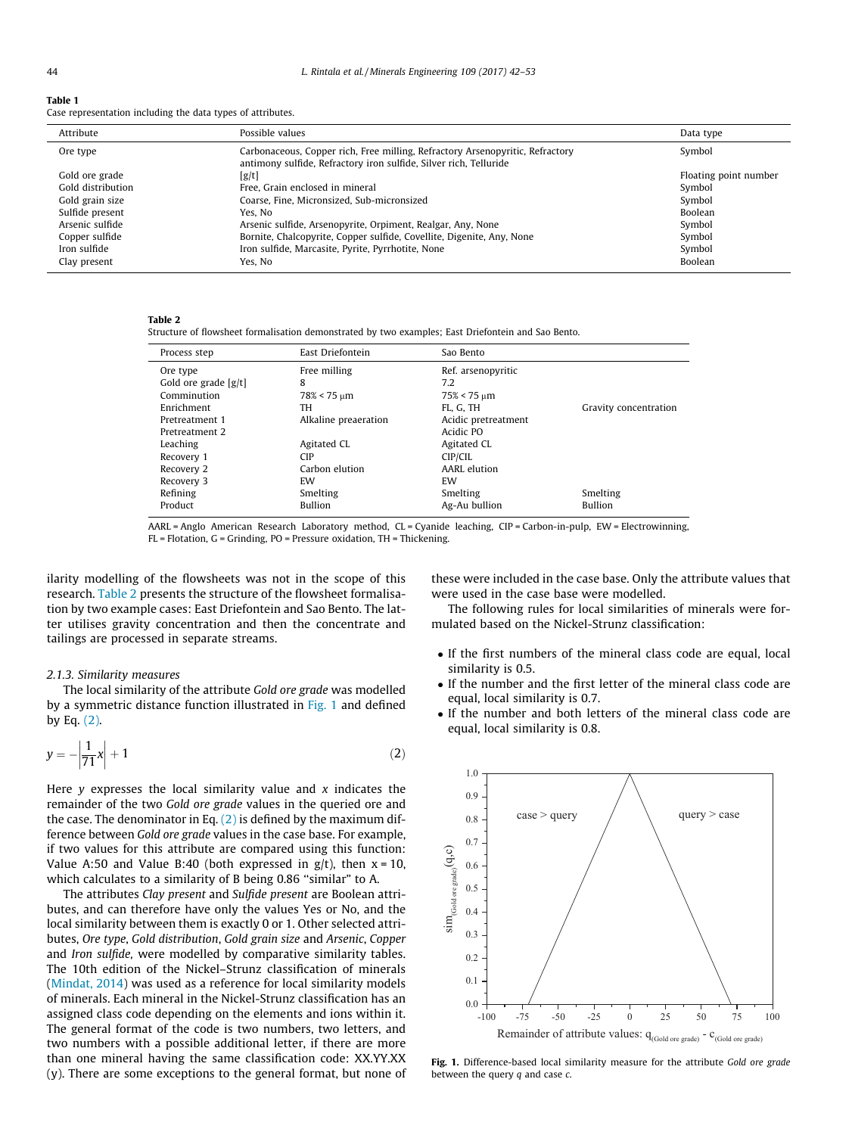#### <span id="page-2-0"></span>Table 1

Case representation including the data types of attributes.

| Attribute         | Possible values                                                                                                                                    | Data type             |
|-------------------|----------------------------------------------------------------------------------------------------------------------------------------------------|-----------------------|
| Ore type          | Carbonaceous, Copper rich, Free milling, Refractory Arsenopyritic, Refractory<br>antimony sulfide, Refractory iron sulfide, Silver rich, Telluride | Symbol                |
| Gold ore grade    | [g/t]                                                                                                                                              | Floating point number |
| Gold distribution | Free. Grain enclosed in mineral                                                                                                                    | Symbol                |
| Gold grain size   | Coarse, Fine, Micronsized, Sub-micronsized                                                                                                         | Symbol                |
| Sulfide present   | Yes. No                                                                                                                                            | Boolean               |
| Arsenic sulfide   | Arsenic sulfide, Arsenopyrite, Orpiment, Realgar, Any, None                                                                                        | Symbol                |
| Copper sulfide    | Bornite, Chalcopyrite, Copper sulfide, Covellite, Digenite, Any, None                                                                              | Symbol                |
| Iron sulfide      | Iron sulfide, Marcasite, Pyrite, Pyrrhotite, None                                                                                                  | Symbol                |
| Clay present      | Yes, No                                                                                                                                            | Boolean               |
|                   |                                                                                                                                                    |                       |

## Table 2

Structure of flowsheet formalisation demonstrated by two examples; East Driefontein and Sao Bento.

| Process step           | East Driefontein       | Sao Bento           |                       |
|------------------------|------------------------|---------------------|-----------------------|
| Ore type               | Free milling           | Ref. arsenopyritic  |                       |
| Gold ore grade $[g/t]$ | 8                      | 7.2                 |                       |
| Comminution            | $78\% < 75 \text{ µm}$ | $75\% < 75 \mu m$   |                       |
| Enrichment             | TH                     | FL, G, TH           | Gravity concentration |
| Pretreatment 1         | Alkaline preaeration   | Acidic pretreatment |                       |
| Pretreatment 2         |                        | Acidic PO           |                       |
| Leaching               | Agitated CL            | Agitated CL         |                       |
| Recovery 1             | <b>CIP</b>             | CIP/CIL             |                       |
| Recovery 2             | Carbon elution         | AARL elution        |                       |
| Recovery 3             | EW                     | EW                  |                       |
| Refining               | Smelting               | Smelting            | Smelting              |
| Product                | Bullion                | Ag-Au bullion       | Bullion               |

AARL = Anglo American Research Laboratory method, CL = Cyanide leaching, CIP = Carbon-in-pulp, EW = Electrowinning, FL = Flotation, G = Grinding, PO = Pressure oxidation, TH = Thickening.

ilarity modelling of the flowsheets was not in the scope of this research. Table 2 presents the structure of the flowsheet formalisation by two example cases: East Driefontein and Sao Bento. The latter utilises gravity concentration and then the concentrate and tailings are processed in separate streams.

#### 2.1.3. Similarity measures

The local similarity of the attribute Gold ore grade was modelled by a symmetric distance function illustrated in Fig. 1 and defined by Eq. (2).

$$
y = -\left|\frac{1}{71}x\right| + 1\tag{2}
$$

Here  $y$  expresses the local similarity value and  $x$  indicates the remainder of the two Gold ore grade values in the queried ore and the case. The denominator in Eq.  $(2)$  is defined by the maximum difference between Gold ore grade values in the case base. For example, if two values for this attribute are compared using this function: Value A:50 and Value B:40 (both expressed in  $g/t$ ), then  $x = 10$ , which calculates to a similarity of B being 0.86 ''similar" to A.

The attributes Clay present and Sulfide present are Boolean attributes, and can therefore have only the values Yes or No, and the local similarity between them is exactly 0 or 1. Other selected attributes, Ore type, Gold distribution, Gold grain size and Arsenic, Copper and Iron sulfide, were modelled by comparative similarity tables. The 10th edition of the Nickel–Strunz classification of minerals ([Mindat, 2014](#page-11-0)) was used as a reference for local similarity models of minerals. Each mineral in the Nickel-Strunz classification has an assigned class code depending on the elements and ions within it. The general format of the code is two numbers, two letters, and two numbers with a possible additional letter, if there are more than one mineral having the same classification code: XX.YY.XX (y). There are some exceptions to the general format, but none of these were included in the case base. Only the attribute values that were used in the case base were modelled.

The following rules for local similarities of minerals were formulated based on the Nickel-Strunz classification:

- If the first numbers of the mineral class code are equal, local similarity is 0.5.
- If the number and the first letter of the mineral class code are equal, local similarity is 0.7.
- If the number and both letters of the mineral class code are equal, local similarity is 0.8.



Fig. 1. Difference-based local similarity measure for the attribute Gold ore grade between the query  $q$  and case  $c$ .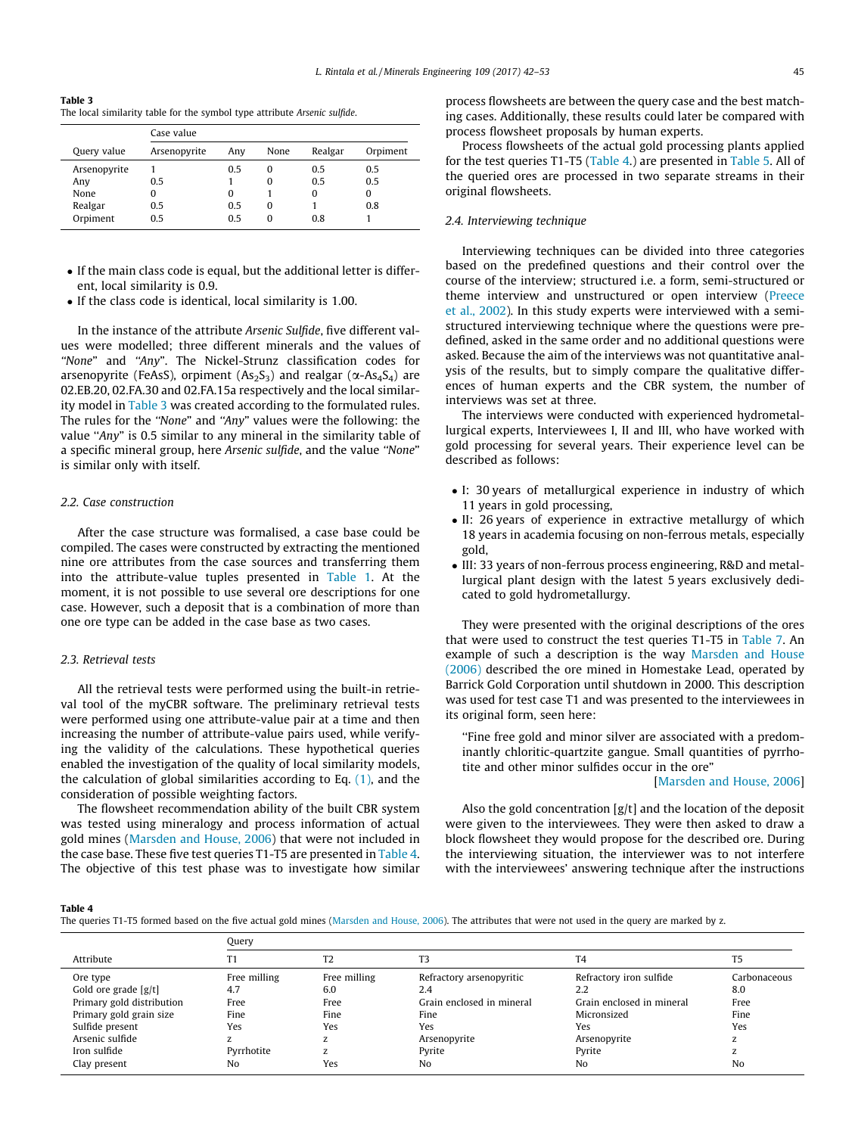Table 3 The local similarity table for the symbol type attribute Arsenic sulfide.

|              | Case value   |     |      |         |          |
|--------------|--------------|-----|------|---------|----------|
| Query value  | Arsenopyrite | Anv | None | Realgar | Orpiment |
| Arsenopyrite |              | 0.5 | 0    | 0.5     | 0.5      |
| Any          | 0.5          |     | 0    | 0.5     | 0.5      |
| None         | 0            | 0   |      | 0       | 0        |
| Realgar      | 0.5          | 0.5 | 0    |         | 0.8      |
| Orpiment     | 0.5          | 0.5 | o    | 0.8     |          |

- If the main class code is equal, but the additional letter is different, local similarity is 0.9.
- If the class code is identical, local similarity is 1.00.

In the instance of the attribute Arsenic Sulfide, five different values were modelled; three different minerals and the values of "None" and "Any". The Nickel-Strunz classification codes for arsenopyrite (FeAsS), orpiment  $(As_2S_3)$  and realgar  $(\alpha-As_4S_4)$  are 02.EB.20, 02.FA.30 and 02.FA.15a respectively and the local similarity model in Table 3 was created according to the formulated rules. The rules for the ''None" and ''Any" values were the following: the value "Any" is 0.5 similar to any mineral in the similarity table of a specific mineral group, here Arsenic sulfide, and the value ''None" is similar only with itself.

#### 2.2. Case construction

After the case structure was formalised, a case base could be compiled. The cases were constructed by extracting the mentioned nine ore attributes from the case sources and transferring them into the attribute-value tuples presented in [Table 1.](#page-2-0) At the moment, it is not possible to use several ore descriptions for one case. However, such a deposit that is a combination of more than one ore type can be added in the case base as two cases.

# 2.3. Retrieval tests

All the retrieval tests were performed using the built-in retrieval tool of the myCBR software. The preliminary retrieval tests were performed using one attribute-value pair at a time and then increasing the number of attribute-value pairs used, while verifying the validity of the calculations. These hypothetical queries enabled the investigation of the quality of local similarity models, the calculation of global similarities according to Eq. [\(1\)](#page-1-0), and the consideration of possible weighting factors.

The flowsheet recommendation ability of the built CBR system was tested using mineralogy and process information of actual gold mines [\(Marsden and House, 2006\)](#page-11-0) that were not included in the case base. These five test queries T1-T5 are presented in Table 4. The objective of this test phase was to investigate how similar

process flowsheets are between the query case and the best matching cases. Additionally, these results could later be compared with process flowsheet proposals by human experts.

Process flowsheets of the actual gold processing plants applied for the test queries T1-T5 (Table 4.) are presented in [Table 5](#page-4-0). All of the queried ores are processed in two separate streams in their original flowsheets.

## 2.4. Interviewing technique

Interviewing techniques can be divided into three categories based on the predefined questions and their control over the course of the interview; structured i.e. a form, semi-structured or theme interview and unstructured or open interview ([Preece](#page-11-0) [et al., 2002](#page-11-0)). In this study experts were interviewed with a semistructured interviewing technique where the questions were predefined, asked in the same order and no additional questions were asked. Because the aim of the interviews was not quantitative analysis of the results, but to simply compare the qualitative differences of human experts and the CBR system, the number of interviews was set at three.

The interviews were conducted with experienced hydrometallurgical experts, Interviewees I, II and III, who have worked with gold processing for several years. Their experience level can be described as follows:

- I: 30 years of metallurgical experience in industry of which 11 years in gold processing,
- $\bullet$  II: 26 years of experience in extractive metallurgy of which 18 years in academia focusing on non-ferrous metals, especially gold,
- III: 33 years of non-ferrous process engineering, R&D and metallurgical plant design with the latest 5 years exclusively dedicated to gold hydrometallurgy.

They were presented with the original descriptions of the ores that were used to construct the test queries T1-T5 in [Table 7](#page-6-0). An example of such a description is the way [Marsden and House](#page-11-0) [\(2006\)](#page-11-0) described the ore mined in Homestake Lead, operated by Barrick Gold Corporation until shutdown in 2000. This description was used for test case T1 and was presented to the interviewees in its original form, seen here:

''Fine free gold and minor silver are associated with a predominantly chloritic-quartzite gangue. Small quantities of pyrrhotite and other minor sulfides occur in the ore"

#### [\[Marsden and House, 2006\]](#page-11-0)

Also the gold concentration [g/t] and the location of the deposit were given to the interviewees. They were then asked to draw a block flowsheet they would propose for the described ore. During the interviewing situation, the interviewer was to not interfere with the interviewees' answering technique after the instructions

Table 4

The queries T1-T5 formed based on the five actual gold mines [\(Marsden and House, 2006](#page-11-0)). The attributes that were not used in the query are marked by z.

|                           | Query        |              |                           |                           |              |
|---------------------------|--------------|--------------|---------------------------|---------------------------|--------------|
| Attribute                 |              |              | T <sub>3</sub>            | T <sub>4</sub>            | T5           |
| Ore type                  | Free milling | Free milling | Refractory arsenopyritic  | Refractory iron sulfide   | Carbonaceous |
| Gold ore grade $[g/t]$    | 4.7          | 6.0          | 2.4                       | 2.2                       | 8.0          |
| Primary gold distribution | Free         | Free         | Grain enclosed in mineral | Grain enclosed in mineral | Free         |
| Primary gold grain size   | Fine         | Fine         | Fine                      | Micronsized               | Fine         |
| Sulfide present           | Yes          | Yes          | Yes                       | Yes                       | Yes          |
| Arsenic sulfide           |              |              | Arsenopyrite              | Arsenopyrite              | z            |
| Iron sulfide              | Pyrrhotite   |              | Pyrite                    | Pyrite                    |              |
| Clay present              | No           | Yes          | No                        | No                        | No           |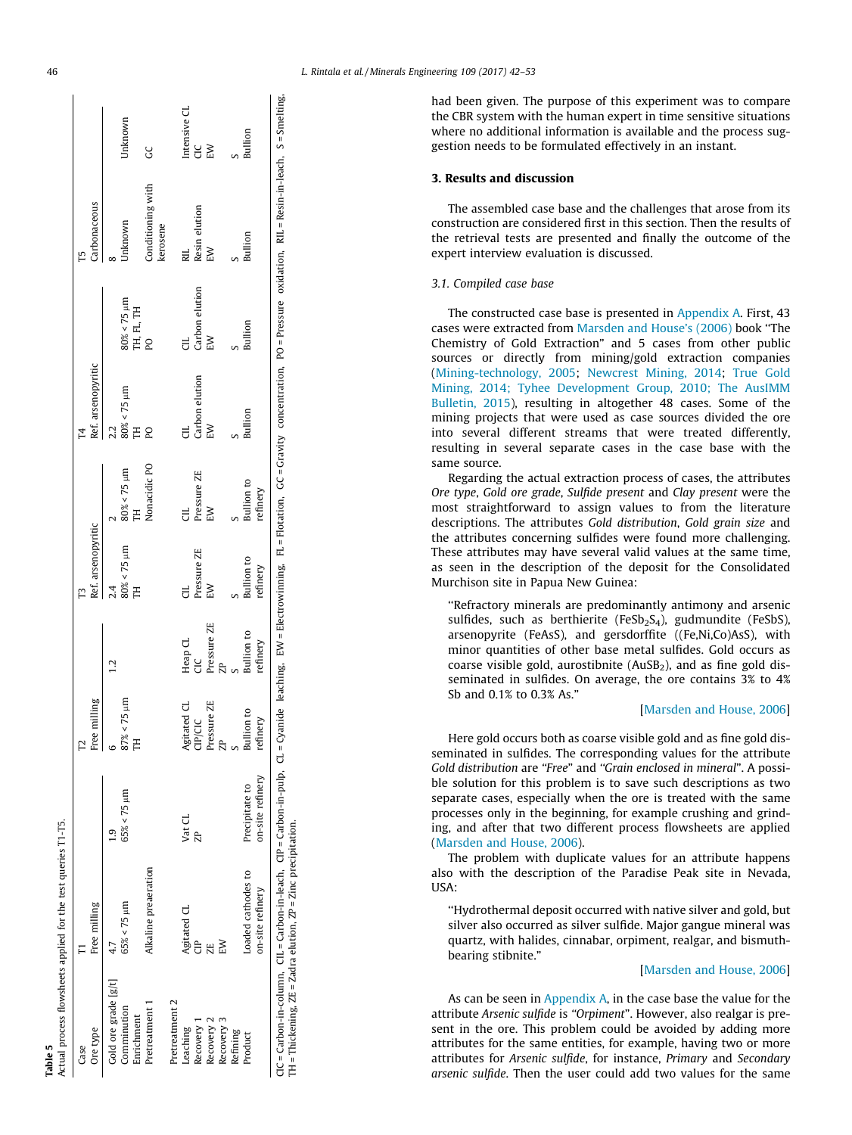<span id="page-4-0"></span>

| Ore type<br>Case                                  | Free milling         |                          | Free milling<br>$\overline{L}$                     |             | Ref. arsenopyritic         |                        | Ref. arsenopyritic<br>4 |                                 | Carbonaceous<br>ŗ             |              |
|---------------------------------------------------|----------------------|--------------------------|----------------------------------------------------|-------------|----------------------------|------------------------|-------------------------|---------------------------------|-------------------------------|--------------|
| Gold ore grade [g/t]<br>Comminution<br>Enrichment | $65% < 75 \mu m$     | $65% < 75 \text{ }\mu m$ | $87\% < 75 \mu m$<br>$\overline{\phantom{a}}$<br>E | L.          | $80\% < 75 \,\mu m$<br>2.4 | $80\% < 75 \mu m$<br>Ŧ | $80\% < 75 \ \mu m$     | $80\% < 75 \mu m$<br>TH, FL, TH | Inknown                       | Unknown      |
| Pretreatment 1                                    | Alkaline preaeration |                          |                                                    |             |                            | Nonacidic PO           | <b>Dd</b>               |                                 | Conditioning with<br>kerosene | Y            |
| Pretreatment 2                                    |                      |                          |                                                    |             |                            |                        |                         |                                 |                               |              |
| Leaching                                          | Agitated CL          | Vat CL                   | Agitated CL                                        | Heap CL     |                            |                        |                         |                                 |                               | Intensive CL |
| Recovery                                          | Ê                    | R,                       | <b>CIP/CIC</b>                                     |             | Pressure ZE                | Pressure ZE            | Carbon elution          | Carbon elution                  | Resin elution                 | UC           |
| Recovery 2                                        | ZE                   |                          | Pressure ZE                                        | Pressure ZE | Š                          | EN <sub>1</sub>        | ξŅ                      | Š                               | Š                             | <b>N</b> E   |
| Recovery 3                                        | <b>NE</b>            |                          | 2P                                                 |             |                            |                        |                         |                                 |                               |              |
| Refining                                          |                      |                          | $\mathfrak{c}$                                     |             |                            |                        |                         |                                 |                               |              |
| Product                                           | Loaded cathodes to   | Precipitate to           | llion to<br><b>Rul</b>                             | Bullion to  | <b>Bullion</b> to          | <b>Bullion</b> to      | Bullion                 | Bullion                         | Bullion                       | Bullion      |
|                                                   | on-site refinery     | on-site refinery         | refinery                                           | refinery    | refinery                   | refinery               |                         |                                 |                               |              |

had been given. The purpose of this experiment was to compare the CBR system with the human expert in time sensitive situations where no additional information is available and the process suggestion needs to be formulated effectively in an instant.

## 3. Results and discussion

The assembled case base and the challenges that arose from its construction are considered first in this section. Then the results of the retrieval tests are presented and finally the outcome of the expert interview evaluation is discussed.

#### 3.1. Compiled case base

The constructed case base is presented in [Appendix A.](#page-8-0) First, 43 cases were extracted from [Marsden and House's \(2006\)](#page-11-0) book ''The Chemistry of Gold Extraction" and 5 cases from other public sources or directly from mining/gold extraction companies ([Mining-technology, 2005;](#page-11-0) [Newcrest Mining, 2014;](#page-11-0) [True Gold](#page-11-0) [Mining, 2014; Tyhee Development Group, 2010; The AusIMM](#page-11-0) [Bulletin, 2015](#page-11-0)), resulting in altogether 48 cases. Some of the mining projects that were used as case sources divided the ore into several different streams that were treated differently, resulting in several separate cases in the case base with the same source.

Regarding the actual extraction process of cases, the attributes Ore type, Gold ore grade, Sulfide present and Clay present were the most straightforward to assign values to from the literature descriptions. The attributes Gold distribution, Gold grain size and the attributes concerning sulfides were found more challenging. These attributes may have several valid values at the same time, as seen in the description of the deposit for the Consolidated Murchison site in Papua New Guinea:

''Refractory minerals are predominantly antimony and arsenic sulfides, such as berthierite (FeSb<sub>2</sub>S<sub>4</sub>), gudmundite (FeSbS), arsenopyrite (FeAsS), and gersdorffite ((Fe,Ni,Co)AsS), with minor quantities of other base metal sulfides. Gold occurs as coarse visible gold, aurostibnite  $(AuSB<sub>2</sub>)$ , and as fine gold disseminated in sulfides. On average, the ore contains 3% to 4% Sb and 0.1% to 0.3% As."

## [[Marsden and House, 2006\]](#page-11-0)

Here gold occurs both as coarse visible gold and as fine gold disseminated in sulfides. The corresponding values for the attribute Gold distribution are "Free" and "Grain enclosed in mineral". A possible solution for this problem is to save such descriptions as two separate cases, especially when the ore is treated with the same processes only in the beginning, for example crushing and grinding, and after that two different process flowsheets are applied ([Marsden and House, 2006\)](#page-11-0).

The problem with duplicate values for an attribute happens also with the description of the Paradise Peak site in Nevada, USA:

''Hydrothermal deposit occurred with native silver and gold, but silver also occurred as silver sulfide. Major gangue mineral was quartz, with halides, cinnabar, orpiment, realgar, and bismuthbearing stibnite."

## [[Marsden and House, 2006\]](#page-11-0)

As can be seen in [Appendix A](#page-8-0), in the case base the value for the attribute Arsenic sulfide is "Orpiment". However, also realgar is present in the ore. This problem could be avoided by adding more attributes for the same entities, for example, having two or more attributes for Arsenic sulfide, for instance, Primary and Secondary arsenic sulfide. Then the user could add two values for the same

Table 5

Actual process flowsheets applied for the test queries T1-T5.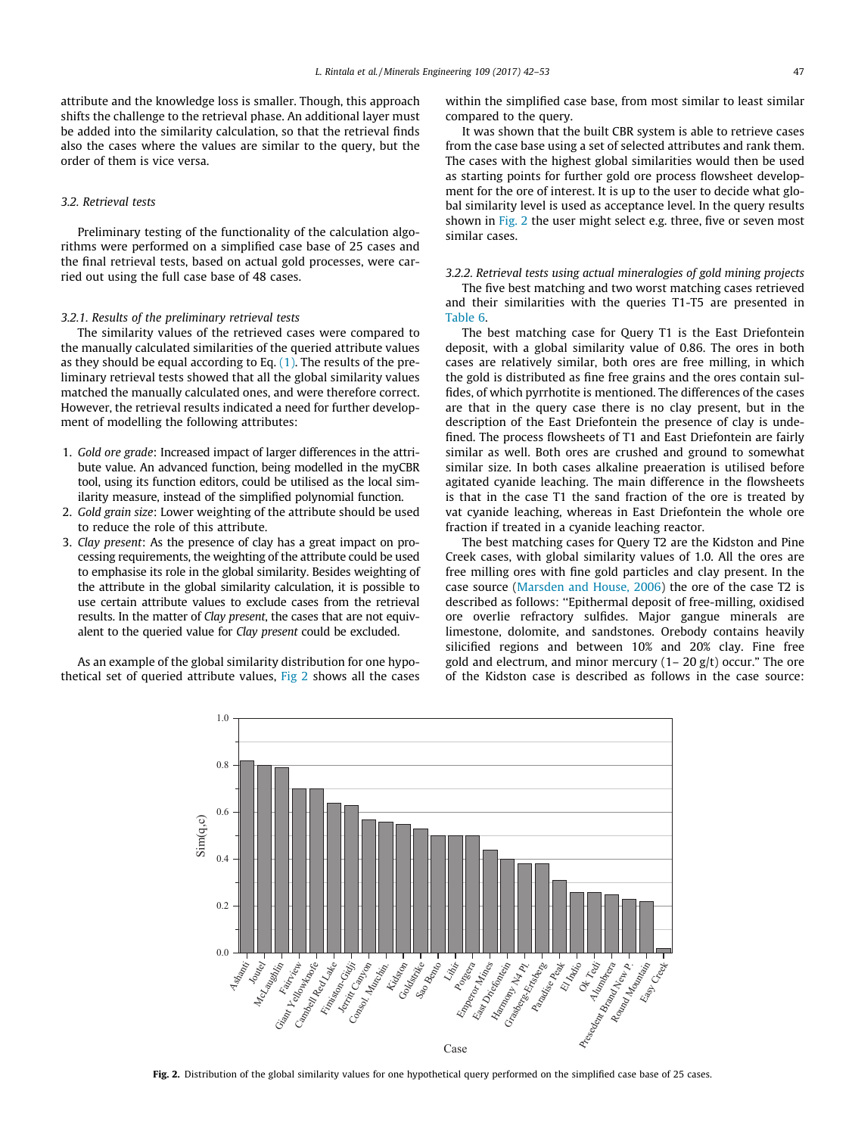attribute and the knowledge loss is smaller. Though, this approach shifts the challenge to the retrieval phase. An additional layer must be added into the similarity calculation, so that the retrieval finds also the cases where the values are similar to the query, but the order of them is vice versa.

## 3.2. Retrieval tests

Preliminary testing of the functionality of the calculation algorithms were performed on a simplified case base of 25 cases and the final retrieval tests, based on actual gold processes, were carried out using the full case base of 48 cases.

#### 3.2.1. Results of the preliminary retrieval tests

The similarity values of the retrieved cases were compared to the manually calculated similarities of the queried attribute values as they should be equal according to Eq.  $(1)$ . The results of the preliminary retrieval tests showed that all the global similarity values matched the manually calculated ones, and were therefore correct. However, the retrieval results indicated a need for further development of modelling the following attributes:

- 1. Gold ore grade: Increased impact of larger differences in the attribute value. An advanced function, being modelled in the myCBR tool, using its function editors, could be utilised as the local similarity measure, instead of the simplified polynomial function.
- 2. Gold grain size: Lower weighting of the attribute should be used to reduce the role of this attribute.
- 3. Clay present: As the presence of clay has a great impact on processing requirements, the weighting of the attribute could be used to emphasise its role in the global similarity. Besides weighting of the attribute in the global similarity calculation, it is possible to use certain attribute values to exclude cases from the retrieval results. In the matter of Clay present, the cases that are not equivalent to the queried value for Clay present could be excluded.

As an example of the global similarity distribution for one hypothetical set of queried attribute values, Fig 2 shows all the cases within the simplified case base, from most similar to least similar compared to the query.

It was shown that the built CBR system is able to retrieve cases from the case base using a set of selected attributes and rank them. The cases with the highest global similarities would then be used as starting points for further gold ore process flowsheet development for the ore of interest. It is up to the user to decide what global similarity level is used as acceptance level. In the query results shown in Fig. 2 the user might select e.g. three, five or seven most similar cases.

#### 3.2.2. Retrieval tests using actual mineralogies of gold mining projects

The five best matching and two worst matching cases retrieved and their similarities with the queries T1-T5 are presented in [Table 6](#page-6-0).

The best matching case for Query T1 is the East Driefontein deposit, with a global similarity value of 0.86. The ores in both cases are relatively similar, both ores are free milling, in which the gold is distributed as fine free grains and the ores contain sulfides, of which pyrrhotite is mentioned. The differences of the cases are that in the query case there is no clay present, but in the description of the East Driefontein the presence of clay is undefined. The process flowsheets of T1 and East Driefontein are fairly similar as well. Both ores are crushed and ground to somewhat similar size. In both cases alkaline preaeration is utilised before agitated cyanide leaching. The main difference in the flowsheets is that in the case T1 the sand fraction of the ore is treated by vat cyanide leaching, whereas in East Driefontein the whole ore fraction if treated in a cyanide leaching reactor.

The best matching cases for Query T2 are the Kidston and Pine Creek cases, with global similarity values of 1.0. All the ores are free milling ores with fine gold particles and clay present. In the case source ([Marsden and House, 2006](#page-11-0)) the ore of the case T2 is described as follows: ''Epithermal deposit of free-milling, oxidised ore overlie refractory sulfides. Major gangue minerals are limestone, dolomite, and sandstones. Orebody contains heavily silicified regions and between 10% and 20% clay. Fine free gold and electrum, and minor mercury  $(1-20 g/t)$  occur." The ore of the Kidston case is described as follows in the case source:



Fig. 2. Distribution of the global similarity values for one hypothetical query performed on the simplified case base of 25 cases.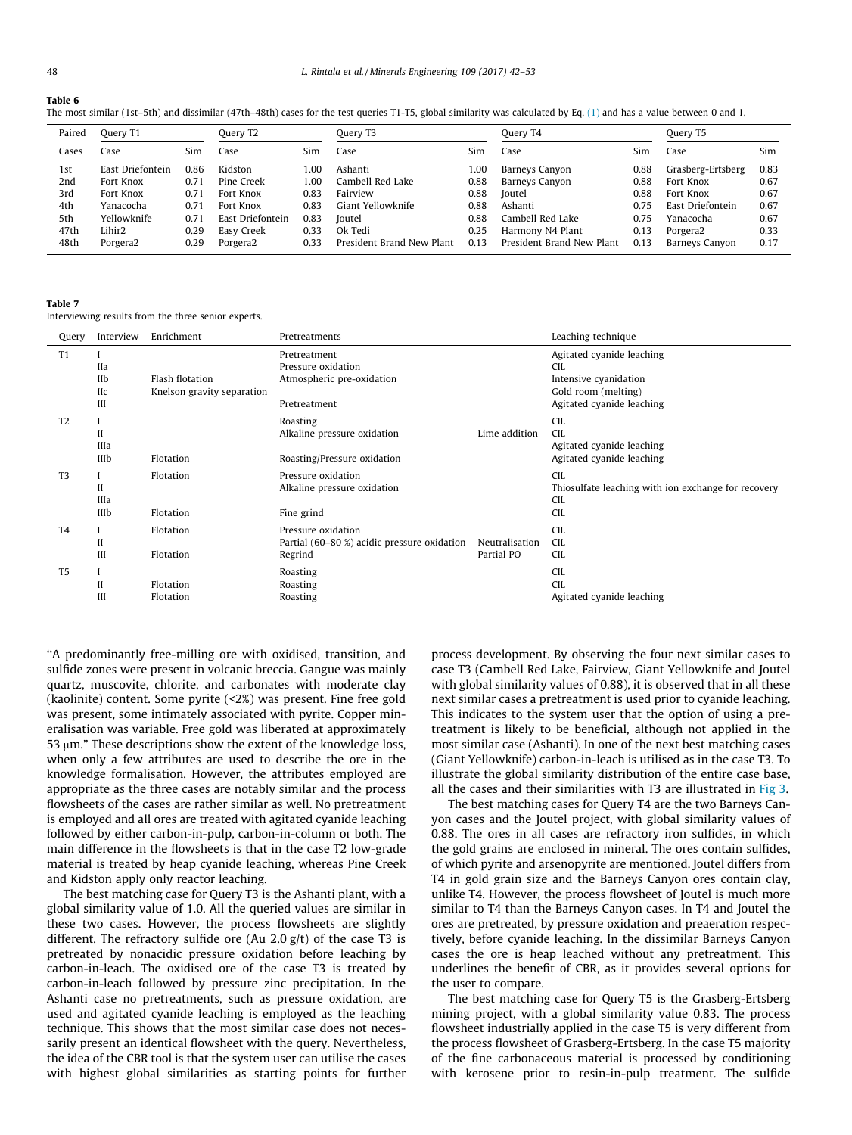#### <span id="page-6-0"></span>Table 6

The most similar (1st–5th) and dissimilar (47th–48th) cases for the test queries T1-T5, global similarity was calculated by Eq. [\(1\)](#page-1-0) and has a value between 0 and 1.

| Paired | Query T1             |      | Query T2                |      | Query T3                  |      | Query T4                  |      | Query T5             |      |
|--------|----------------------|------|-------------------------|------|---------------------------|------|---------------------------|------|----------------------|------|
| Cases  | Case                 | Sim  | Case                    | Sim  | Case                      | Sim  | Case                      | Sim  | Case                 | Sim  |
| 1st    | East Driefontein     | 0.86 | Kidston                 | 1.00 | Ashanti                   | 1.00 | Barneys Canyon            | 0.88 | Grasberg-Ertsberg    | 0.83 |
| 2nd    | Fort Knox            | 0.71 | Pine Creek              | 1.00 | Cambell Red Lake          | 0.88 | Barneys Canyon            | 0.88 | Fort Knox            | 0.67 |
| 3rd    | Fort Knox            | 0.71 | Fort Knox               | 0.83 | Fairview                  | 0.88 | Joutel                    | 0.88 | Fort Knox            | 0.67 |
| 4th    | Yanacocha            | 0.71 | Fort Knox               | 0.83 | Giant Yellowknife         | 0.88 | Ashanti                   | 0.75 | East Driefontein     | 0.67 |
| 5th    | Yellowknife          | 0.71 | <b>East Driefontein</b> | 0.83 | Joutel                    | 0.88 | Cambell Red Lake          | 0.75 | Yanacocha            | 0.67 |
| 47th   | Lihir2               | 0.29 | Easy Creek              | 0.33 | Ok Tedi                   | 0.25 | Harmony N4 Plant          | 0.13 | Porgera <sub>2</sub> | 0.33 |
| 48th   | Porgera <sub>2</sub> | 0.29 | Porgera <sub>2</sub>    | 0.33 | President Brand New Plant | 0.13 | President Brand New Plant | 0.13 | Barneys Canyon       | 0.17 |

Table 7

Interviewing results from the three senior experts.

| Query          | Interview                              | Enrichment                                    | Pretreatments                                                                   |                              | Leaching technique                                                                                                   |
|----------------|----------------------------------------|-----------------------------------------------|---------------------------------------------------------------------------------|------------------------------|----------------------------------------------------------------------------------------------------------------------|
| T <sub>1</sub> | <b>IIa</b><br>IIb<br><b>IIc</b><br>III | Flash flotation<br>Knelson gravity separation | Pretreatment<br>Pressure oxidation<br>Atmospheric pre-oxidation<br>Pretreatment |                              | Agitated cyanide leaching<br><b>CIL</b><br>Intensive cyanidation<br>Gold room (melting)<br>Agitated cyanide leaching |
| T <sub>2</sub> | $_{II}$<br>IIIa<br>IIIb                | Flotation                                     | Roasting<br>Alkaline pressure oxidation<br>Roasting/Pressure oxidation          | Lime addition                | <b>CIL</b><br><b>CIL</b><br>Agitated cyanide leaching<br>Agitated cyanide leaching                                   |
| T <sub>3</sub> | $_{II}$<br>IIIa<br>IIIb                | Flotation<br>Flotation                        | Pressure oxidation<br>Alkaline pressure oxidation<br>Fine grind                 |                              | <b>CIL</b><br>Thiosulfate leaching with ion exchange for recovery<br><b>CIL</b><br><b>CIL</b>                        |
| T <sub>4</sub> | $_{II}$<br>III                         | Flotation<br>Flotation                        | Pressure oxidation<br>Partial (60–80 %) acidic pressure oxidation<br>Regrind    | Neutralisation<br>Partial PO | <b>CIL</b><br><b>CIL</b><br><b>CIL</b>                                                                               |
| T <sub>5</sub> | $_{II}$<br>Ш                           | Flotation<br>Flotation                        | Roasting<br>Roasting<br>Roasting                                                |                              | <b>CIL</b><br><b>CIL</b><br>Agitated cyanide leaching                                                                |

''A predominantly free-milling ore with oxidised, transition, and sulfide zones were present in volcanic breccia. Gangue was mainly quartz, muscovite, chlorite, and carbonates with moderate clay (kaolinite) content. Some pyrite (<2%) was present. Fine free gold was present, some intimately associated with pyrite. Copper mineralisation was variable. Free gold was liberated at approximately  $53 \mu m$ ." These descriptions show the extent of the knowledge loss, when only a few attributes are used to describe the ore in the knowledge formalisation. However, the attributes employed are appropriate as the three cases are notably similar and the process flowsheets of the cases are rather similar as well. No pretreatment is employed and all ores are treated with agitated cyanide leaching followed by either carbon-in-pulp, carbon-in-column or both. The main difference in the flowsheets is that in the case T2 low-grade material is treated by heap cyanide leaching, whereas Pine Creek and Kidston apply only reactor leaching.

The best matching case for Query T3 is the Ashanti plant, with a global similarity value of 1.0. All the queried values are similar in these two cases. However, the process flowsheets are slightly different. The refractory sulfide ore (Au 2.0  $g/t$ ) of the case T3 is pretreated by nonacidic pressure oxidation before leaching by carbon-in-leach. The oxidised ore of the case T3 is treated by carbon-in-leach followed by pressure zinc precipitation. In the Ashanti case no pretreatments, such as pressure oxidation, are used and agitated cyanide leaching is employed as the leaching technique. This shows that the most similar case does not necessarily present an identical flowsheet with the query. Nevertheless, the idea of the CBR tool is that the system user can utilise the cases with highest global similarities as starting points for further process development. By observing the four next similar cases to case T3 (Cambell Red Lake, Fairview, Giant Yellowknife and Joutel with global similarity values of 0.88), it is observed that in all these next similar cases a pretreatment is used prior to cyanide leaching. This indicates to the system user that the option of using a pretreatment is likely to be beneficial, although not applied in the most similar case (Ashanti). In one of the next best matching cases (Giant Yellowknife) carbon-in-leach is utilised as in the case T3. To illustrate the global similarity distribution of the entire case base, all the cases and their similarities with T3 are illustrated in [Fig 3.](#page-7-0)

The best matching cases for Query T4 are the two Barneys Canyon cases and the Joutel project, with global similarity values of 0.88. The ores in all cases are refractory iron sulfides, in which the gold grains are enclosed in mineral. The ores contain sulfides, of which pyrite and arsenopyrite are mentioned. Joutel differs from T4 in gold grain size and the Barneys Canyon ores contain clay, unlike T4. However, the process flowsheet of Joutel is much more similar to T4 than the Barneys Canyon cases. In T4 and Joutel the ores are pretreated, by pressure oxidation and preaeration respectively, before cyanide leaching. In the dissimilar Barneys Canyon cases the ore is heap leached without any pretreatment. This underlines the benefit of CBR, as it provides several options for the user to compare.

The best matching case for Query T5 is the Grasberg-Ertsberg mining project, with a global similarity value 0.83. The process flowsheet industrially applied in the case T5 is very different from the process flowsheet of Grasberg-Ertsberg. In the case T5 majority of the fine carbonaceous material is processed by conditioning with kerosene prior to resin-in-pulp treatment. The sulfide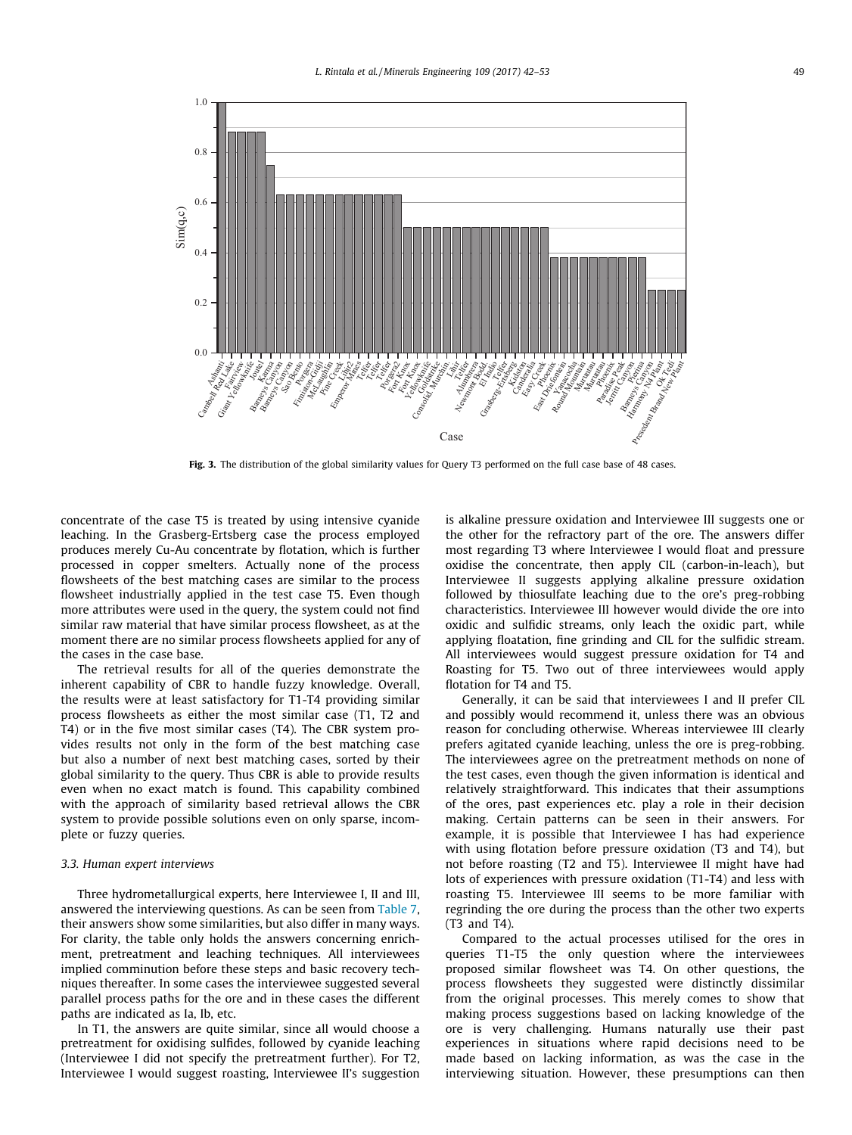<span id="page-7-0"></span>

Fig. 3. The distribution of the global similarity values for Query T3 performed on the full case base of 48 cases.

concentrate of the case T5 is treated by using intensive cyanide leaching. In the Grasberg-Ertsberg case the process employed produces merely Cu-Au concentrate by flotation, which is further processed in copper smelters. Actually none of the process flowsheets of the best matching cases are similar to the process flowsheet industrially applied in the test case T5. Even though more attributes were used in the query, the system could not find similar raw material that have similar process flowsheet, as at the moment there are no similar process flowsheets applied for any of the cases in the case base.

The retrieval results for all of the queries demonstrate the inherent capability of CBR to handle fuzzy knowledge. Overall, the results were at least satisfactory for T1-T4 providing similar process flowsheets as either the most similar case (T1, T2 and T4) or in the five most similar cases (T4). The CBR system provides results not only in the form of the best matching case but also a number of next best matching cases, sorted by their global similarity to the query. Thus CBR is able to provide results even when no exact match is found. This capability combined with the approach of similarity based retrieval allows the CBR system to provide possible solutions even on only sparse, incomplete or fuzzy queries.

#### 3.3. Human expert interviews

Three hydrometallurgical experts, here Interviewee I, II and III, answered the interviewing questions. As can be seen from [Table 7,](#page-6-0) their answers show some similarities, but also differ in many ways. For clarity, the table only holds the answers concerning enrichment, pretreatment and leaching techniques. All interviewees implied comminution before these steps and basic recovery techniques thereafter. In some cases the interviewee suggested several parallel process paths for the ore and in these cases the different paths are indicated as Ia, Ib, etc.

In T1, the answers are quite similar, since all would choose a pretreatment for oxidising sulfides, followed by cyanide leaching (Interviewee I did not specify the pretreatment further). For T2, Interviewee I would suggest roasting, Interviewee II's suggestion is alkaline pressure oxidation and Interviewee III suggests one or the other for the refractory part of the ore. The answers differ most regarding T3 where Interviewee I would float and pressure oxidise the concentrate, then apply CIL (carbon-in-leach), but Interviewee II suggests applying alkaline pressure oxidation followed by thiosulfate leaching due to the ore's preg-robbing characteristics. Interviewee III however would divide the ore into oxidic and sulfidic streams, only leach the oxidic part, while applying floatation, fine grinding and CIL for the sulfidic stream. All interviewees would suggest pressure oxidation for T4 and Roasting for T5. Two out of three interviewees would apply flotation for T4 and T5.

Generally, it can be said that interviewees I and II prefer CIL and possibly would recommend it, unless there was an obvious reason for concluding otherwise. Whereas interviewee III clearly prefers agitated cyanide leaching, unless the ore is preg-robbing. The interviewees agree on the pretreatment methods on none of the test cases, even though the given information is identical and relatively straightforward. This indicates that their assumptions of the ores, past experiences etc. play a role in their decision making. Certain patterns can be seen in their answers. For example, it is possible that Interviewee I has had experience with using flotation before pressure oxidation (T3 and T4), but not before roasting (T2 and T5). Interviewee II might have had lots of experiences with pressure oxidation (T1-T4) and less with roasting T5. Interviewee III seems to be more familiar with regrinding the ore during the process than the other two experts (T3 and T4).

Compared to the actual processes utilised for the ores in queries T1-T5 the only question where the interviewees proposed similar flowsheet was T4. On other questions, the process flowsheets they suggested were distinctly dissimilar from the original processes. This merely comes to show that making process suggestions based on lacking knowledge of the ore is very challenging. Humans naturally use their past experiences in situations where rapid decisions need to be made based on lacking information, as was the case in the interviewing situation. However, these presumptions can then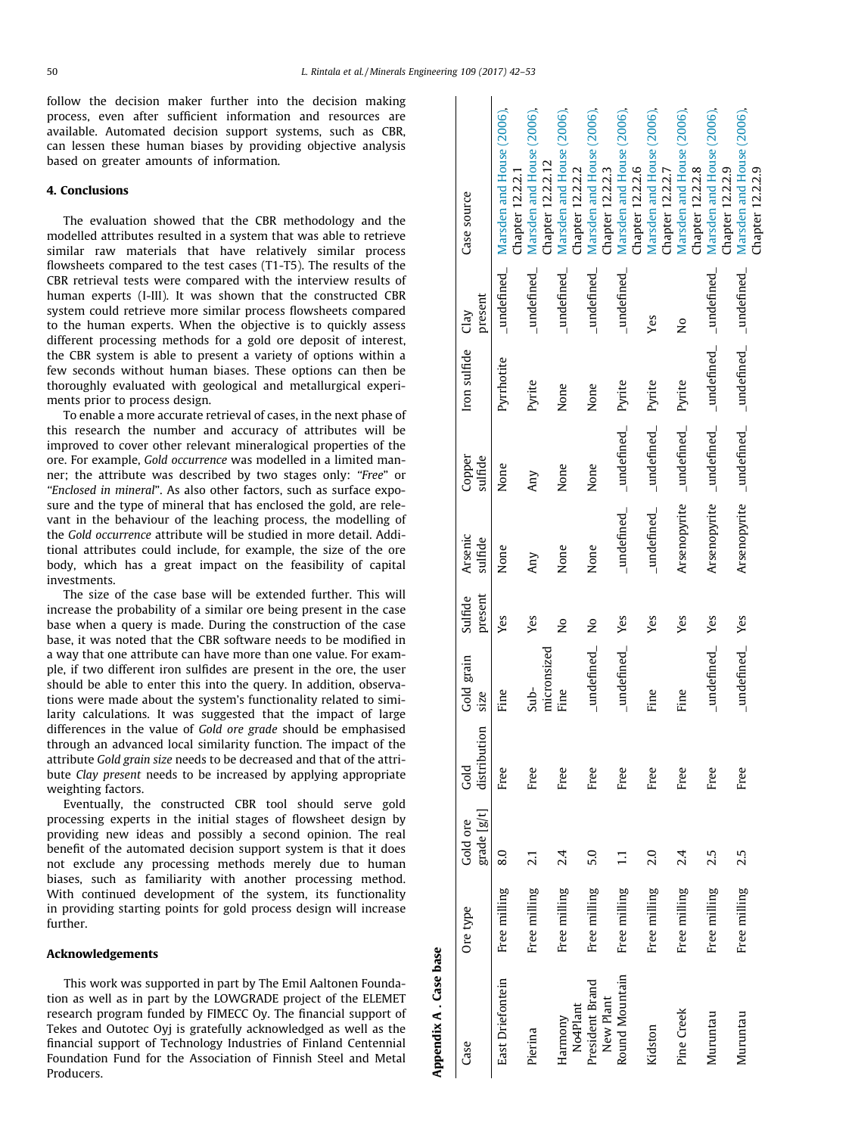<span id="page-8-0"></span>follow the decision maker further into the decision making process, even after sufficient information and resources are available. Automated decision support systems, such as CBR, can lessen these human biases by providing objective analysis based on greater amounts of information.

# 4. Conclusions

The evaluation showed that the CBR methodology and the modelled attributes resulted in a system that was able to retrieve similar raw materials that have relatively similar process flowsheets compared to the test cases (T1-T5). The results of the CBR retrieval tests were compared with the interview results of human experts (I-III). It was shown that the constructed CBR system could retrieve more similar process flowsheets compared to the human experts. When the objective is to quickly assess different processing methods for a gold ore deposit of interest, the CBR system is able to present a variety of options within a few seconds without human biases. These options can then be thoroughly evaluated with geological and metallurgical experiments prior to process design.

To enable a more accurate retrieval of cases, in the next phase of this research the number and accuracy of attributes will be improved to cover other relevant mineralogical properties of the ore. For example, Gold occurrence was modelled in a limited manner; the attribute was described by two stages only: "Free" or ''Enclosed in mineral". As also other factors, such as surface exposure and the type of mineral that has enclosed the gold, are relevant in the behaviour of the leaching process, the modelling of the Gold occurrence attribute will be studied in more detail. Additional attributes could include, for example, the size of the ore body, which has a great impact on the feasibility of capital investments.

The size of the case base will be extended further. This will increase the probability of a similar ore being present in the case base when a query is made. During the construction of the case base, it was noted that the CBR software needs to be modified in a way that one attribute can have more than one value. For example, if two different iron sulfides are present in the ore, the user should be able to enter this into the query. In addition, observations were made about the system's functionality related to similarity calculations. It was suggested that the impact of large differences in the value of Gold ore grade should be emphasised through an advanced local similarity function. The impact of the attribute Gold grain size needs to be decreased and that of the attribute Clay present needs to be increased by applying appropriate weighting factors.

Eventually, the constructed CBR tool should serve gold processing experts in the initial stages of flowsheet design by providing new ideas and possibly a second opinion. The real benefit of the automated decision support system is that it does not exclude any processing methods merely due to human biases, such as familiarity with another processing method. With continued development of the system, its functionality in providing starting points for gold process design will increase further.

# Acknowledgements

This work was supported in part by The Emil Aaltonen Foundation as well as in part by the LOWGRADE project of the ELEMET research program funded by FIMECC Oy. The financial support of Tekes and Outotec Oyj is gratefully acknowledged as well as the financial support of Technology Industries of Finland Centennial Foundation Fund for the Association of Finnish Steel and Metal Producers.

| Case                        | Ore type     | $\mathsf{grade}\ [ \mathsf{g}/\mathsf{t} ]$<br>Gold ore | distribution<br>Gold | Gold grain<br>size      | present<br>Sulfide | Arsenic<br>sulfide | Copper<br>sulfide | Iron sulfide                                     | present<br>Clay     | Case source                                                        |
|-----------------------------|--------------|---------------------------------------------------------|----------------------|-------------------------|--------------------|--------------------|-------------------|--------------------------------------------------|---------------------|--------------------------------------------------------------------|
| East Driefontein            | Free milling | $\frac{8}{6}$                                           | Free                 | Fine                    | Yes                | None               | None              | Pyrrhotite                                       | _undefined_         | Marsden and House (2006),                                          |
| Pierina                     | Free milling | $\overline{21}$                                         | Free                 | micronsized<br>Sub-     | Yes                | Any                | Any               | Pyrite                                           | $\_$ undefined $\_$ | Marsden and House (2006),<br>Chapter 12.2.2.12<br>Chapter 12.2.2.1 |
| No4Plant<br>Harmony         | Free milling | 2.4                                                     | Free                 | Fine                    | $\frac{1}{2}$      | None               | None              | None                                             | _undefined_         | Marsden and House (2006),<br>Chapter $12.2.2$                      |
| President Brand             | Free milling | 5.0                                                     | Free                 | _undefined_No           |                    | None               | None              | None                                             | $\_$ undefined $\_$ | Marsden and House (2006),                                          |
| Round Mountain<br>New Plant | Free milling | Ξ                                                       | Free                 | _undefined_             | Yes                | _undefined_        | _undefined_       | Pyrite                                           | _undefined_         | Marsden and House (2006),<br>Chapter 12.2.2.3                      |
| Kidston                     | Free milling | 2.0                                                     | Free                 | Fine                    | Yes                | _undefined_        | _undefined_       | Pyrite                                           | Yes                 | Marsden and House (2006),<br>Chapter 12.2.2.6                      |
| Pine Creek                  | Free milling | 2.4                                                     | Free                 | Fine                    | Yes                | Arsenopyrite       | _undefined_       | Pyrite                                           | ž                   | Marsden and House (2006),<br>Chapter 12.2.2.7                      |
| Muruntau                    | Free milling | 2.5                                                     | Free                 | undefined<br>Yes        |                    | Arsenopyrite       | _undefined_       | _undefined_                                      | _undefined          | Marsden and House (2006),<br>Chapter 12.2.2.8                      |
| Muruntau                    | Free milling | 2.5                                                     | Free                 | $\_$ undefined $\_$ Yes |                    |                    |                   | Arsenopyrite _undefined_ _undefined_ _undefined_ |                     | Marsden and House (2006),<br>Chapter 12.2.2.9                      |
|                             |              |                                                         |                      |                         |                    |                    |                   |                                                  |                     | Chapter $12.2.2$                                                   |

Appendix A . Case base Appendix A . Case base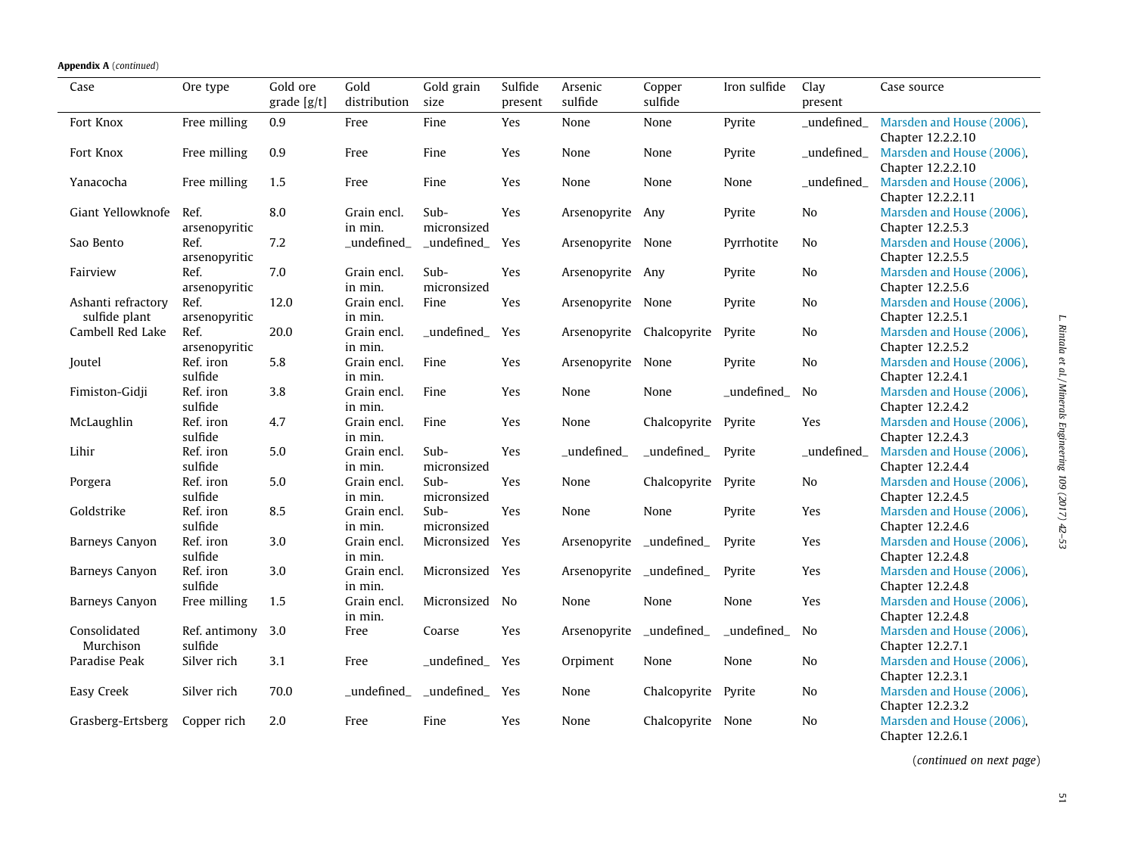Appendix A (continued)

| Case                                | Ore type                     | Gold ore<br>grade $[g/t]$ | Gold<br>distribution   | Gold grain<br>size    | Sulfide<br>present | Arsenic<br>sulfide       | Copper<br>sulfide         | Iron sulfide | Clay<br>present | Case source                                    |
|-------------------------------------|------------------------------|---------------------------|------------------------|-----------------------|--------------------|--------------------------|---------------------------|--------------|-----------------|------------------------------------------------|
| Fort Knox                           | Free milling                 | 0.9                       | Free                   | Fine                  | Yes                | None                     | None                      | Pyrite       | _undefined_     | Marsden and House (2006),<br>Chapter 12.2.2.10 |
| Fort Knox                           | Free milling                 | 0.9                       | Free                   | Fine                  | Yes                | None                     | None                      | Pyrite       | _undefined_     | Marsden and House (2006),<br>Chapter 12.2.2.10 |
| Yanacocha                           | Free milling                 | 1.5                       | Free                   | Fine                  | Yes                | None                     | None                      | None         | _undefined_     | Marsden and House (2006),<br>Chapter 12.2.2.11 |
| Giant Yellowknofe                   | Ref.<br>arsenopyritic        | 8.0                       | Grain encl.<br>in min. | $Sub-$<br>micronsized | Yes                | Arsenopyrite             | Any                       | Pyrite       | N <sub>o</sub>  | Marsden and House (2006),<br>Chapter 12.2.5.3  |
| Sao Bento                           | Ref.<br>arsenopyritic        | 7.2                       | _undefined_            | _undefined_           | Yes                | Arsenopyrite None        |                           | Pyrrhotite   | No              | Marsden and House (2006).<br>Chapter 12.2.5.5  |
| Fairview                            | Ref.<br>arsenopyritic        | 7.0                       | Grain encl.<br>in min. | $Sub-$<br>micronsized | Yes                | Arsenopyrite Any         |                           | Pyrite       | N <sub>o</sub>  | Marsden and House (2006),<br>Chapter 12.2.5.6  |
| Ashanti refractory<br>sulfide plant | Ref.<br>arsenopyritic        | 12.0                      | Grain encl.<br>in min. | Fine                  | Yes                | Arsenopyrite None        |                           | Pyrite       | No              | Marsden and House (2006).<br>Chapter 12.2.5.1  |
| Cambell Red Lake                    | Ref.<br>arsenopyritic        | 20.0                      | Grain encl.<br>in min. | undefined             | Yes                |                          | Arsenopyrite Chalcopyrite | Pyrite       | No              | Marsden and House (2006).<br>Chapter 12.2.5.2  |
| Joutel                              | Ref. iron<br>sulfide         | 5.8                       | Grain encl.<br>in min. | Fine                  | Yes                | Arsenopyrite None        |                           | Pyrite       | No              | Marsden and House (2006),<br>Chapter 12.2.4.1  |
| Fimiston-Gidji                      | Ref. iron<br>sulfide         | 3.8                       | Grain encl.<br>in min. | Fine                  | Yes                | None                     | None                      | _undefined_  | N <sub>0</sub>  | Marsden and House (2006),<br>Chapter 12.2.4.2  |
| McLaughlin                          | Ref. iron<br>sulfide         | 4.7                       | Grain encl.<br>in min. | Fine                  | Yes                | None                     | Chalcopyrite              | Pyrite       | Yes             | Marsden and House (2006),<br>Chapter 12.2.4.3  |
| Lihir                               | Ref. iron<br>sulfide         | $5.0\,$                   | Grain encl.<br>in min. | Sub-<br>micronsized   | Yes                | _undefined_              | _undefined_               | Pyrite       | _undefined_     | Marsden and House (2006),<br>Chapter 12.2.4.4  |
| Porgera                             | Ref. iron<br>sulfide         | $5.0\,$                   | Grain encl.<br>in min. | Sub-<br>micronsized   | Yes                | None                     | Chalcopyrite              | Pyrite       | No              | Marsden and House (2006),<br>Chapter 12.2.4.5  |
| Goldstrike                          | Ref. iron<br>sulfide         | 8.5                       | Grain encl.<br>in min. | Sub-<br>micronsized   | Yes                | None                     | None                      | Pyrite       | Yes             | Marsden and House (2006),<br>Chapter 12.2.4.6  |
| <b>Barneys Canyon</b>               | Ref. iron<br>sulfide         | 3.0                       | Grain encl.<br>in min. | Micronsized           | Yes                | Arsenopyrite             | _undefined_               | Pyrite       | Yes             | Marsden and House (2006),<br>Chapter 12.2.4.8  |
| Barneys Canyon                      | Ref. iron<br>sulfide         | 3.0                       | Grain encl.<br>in min. | Micronsized Yes       |                    | Arsenopyrite _undefined_ |                           | Pyrite       | Yes             | Marsden and House (2006),<br>Chapter 12.2.4.8  |
| <b>Barneys Canyon</b>               | Free milling                 | 1.5                       | Grain encl.<br>in min. | Micronsized           | No                 | None                     | None                      | None         | Yes             | Marsden and House (2006),<br>Chapter 12.2.4.8  |
| Consolidated<br>Murchison           | Ref. antimony 3.0<br>sulfide |                           | Free                   | Coarse                | Yes                | Arsenopyrite             | _undefined_               | _undefined_  | No              | Marsden and House (2006),<br>Chapter 12.2.7.1  |
| Paradise Peak                       | Silver rich                  | 3.1                       | Free                   | _undefined_Yes        |                    | Orpiment                 | None                      | None         | No              | Marsden and House (2006),<br>Chapter 12.2.3.1  |
| Easy Creek                          | Silver rich                  | 70.0                      | _undefined_            | _undefined_PYes       |                    | None                     | Chalcopyrite              | Pyrite       | No              | Marsden and House (2006),<br>Chapter 12.2.3.2  |
| Grasberg-Ertsberg                   | Copper rich                  | 2.0                       | Free                   | Fine                  | Yes                | None                     | Chalcopyrite None         |              | N <sub>o</sub>  | Marsden and House (2006),<br>Chapter 12.2.6.1  |

(continued on next page)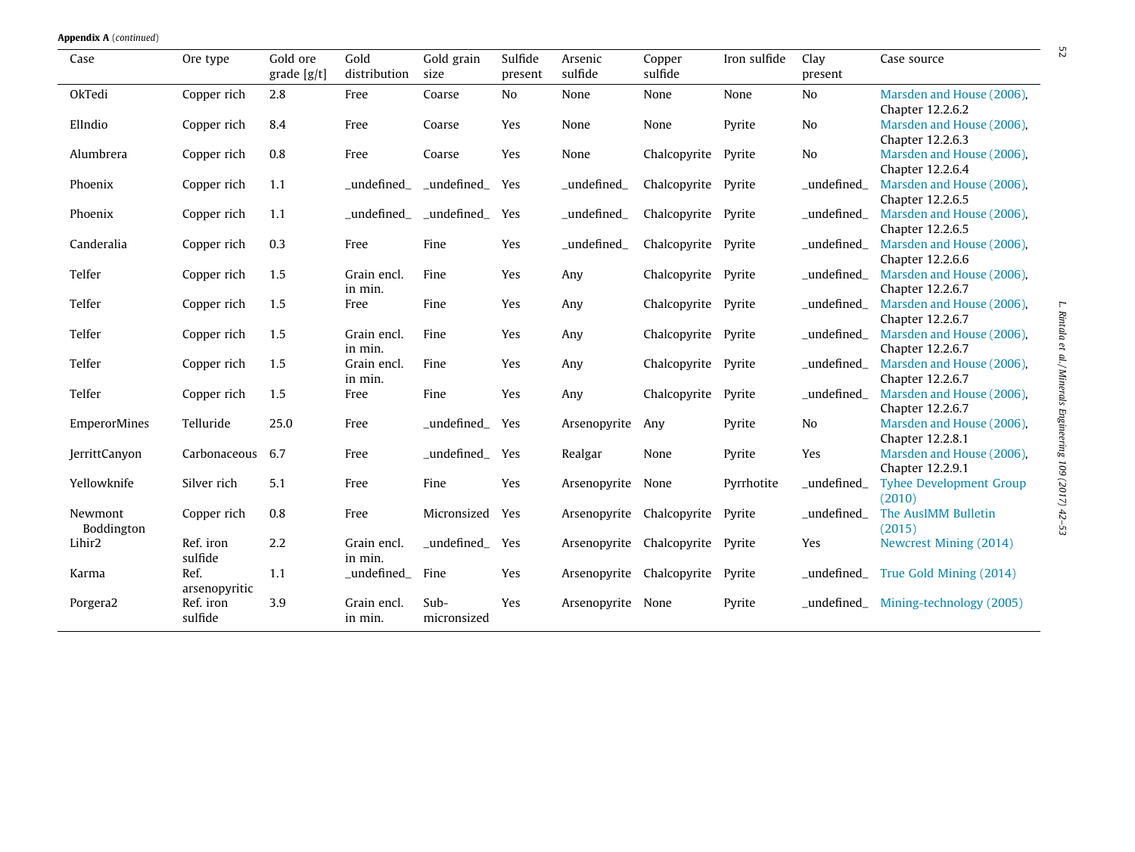Appendix A (continued)

| Case                  | Ore type              | Gold ore<br>grade $[g/t]$ | Gold<br>distribution   | Gold grain<br>size  | Sulfide<br>present | Arsenic<br>sulfide | Copper<br>sulfide         | Iron sulfide | Clay<br>present | Case source                                   |
|-----------------------|-----------------------|---------------------------|------------------------|---------------------|--------------------|--------------------|---------------------------|--------------|-----------------|-----------------------------------------------|
| OkTedi                | Copper rich           | 2.8                       | Free                   | Coarse              | No                 | None               | None                      | None         | No              | Marsden and House (2006).<br>Chapter 12.2.6.2 |
| ElIndio               | Copper rich           | 8.4                       | Free                   | Coarse              | Yes                | None               | None                      | Pyrite       | No              | Marsden and House (2006),<br>Chapter 12.2.6.3 |
| Alumbrera             | Copper rich           | 0.8                       | Free                   | Coarse              | Yes                | None               | Chalcopyrite              | Pyrite       | <b>No</b>       | Marsden and House (2006).<br>Chapter 12.2.6.4 |
| Phoenix               | Copper rich           | 1.1                       | _undefined_            | _undefined_         | Yes                | _undefined_        | Chalcopyrite Pyrite       |              | _undefined_     | Marsden and House (2006),<br>Chapter 12.2.6.5 |
| Phoenix               | Copper rich           | 1.1                       | _undefined_            | _undefined_         | Yes                | _undefined_        | Chalcopyrite Pyrite       |              | _undefined_     | Marsden and House (2006),<br>Chapter 12.2.6.5 |
| Canderalia            | Copper rich           | 0.3                       | Free                   | Fine                | Yes                | _undefined_        | Chalcopyrite Pyrite       |              | _undefined_     | Marsden and House (2006),<br>Chapter 12.2.6.6 |
| Telfer                | Copper rich           | 1.5                       | Grain encl.<br>in min. | Fine                | Yes                | Any                | Chalcopyrite Pyrite       |              | _undefined_     | Marsden and House (2006),<br>Chapter 12.2.6.7 |
| Telfer                | Copper rich           | 1.5                       | Free                   | Fine                | Yes                | Any                | Chalcopyrite              | Pyrite       | _undefined_     | Marsden and House (2006).<br>Chapter 12.2.6.7 |
| Telfer                | Copper rich           | 1.5                       | Grain encl.<br>in min. | Fine                | Yes                | Any                | Chalcopyrite              | Pyrite       | _undefined_     | Marsden and House (2006),<br>Chapter 12.2.6.7 |
| Telfer                | Copper rich           | 1.5                       | Grain encl.<br>in min. | Fine                | Yes                | Any                | Chalcopyrite              | Pyrite       | _undefined_     | Marsden and House (2006),<br>Chapter 12.2.6.7 |
| Telfer                | Copper rich           | 1.5                       | Free                   | Fine                | Yes                | Any                | Chalcopyrite              | Pyrite       | _undefined_     | Marsden and House (2006).<br>Chapter 12.2.6.7 |
| <b>EmperorMines</b>   | Telluride             | 25.0                      | Free                   | _undefined_         | Yes                | Arsenopyrite       | Any                       | Pyrite       | No              | Marsden and House (2006),<br>Chapter 12.2.8.1 |
| <b>JerrittCanyon</b>  | Carbonaceous          | 6.7                       | Free                   | _undefined_         | Yes                | Realgar            | None                      | Pyrite       | Yes             | Marsden and House (2006),<br>Chapter 12.2.9.1 |
| Yellowknife           | Silver rich           | 5.1                       | Free                   | Fine                | Yes                | Arsenopyrite None  |                           | Pyrrhotite   | _undefined_     | <b>Tyhee Development Group</b><br>(2010)      |
| Newmont<br>Boddington | Copper rich           | 0.8                       | Free                   | Micronsized         | Yes                |                    | Arsenopyrite Chalcopyrite | Pyrite       | _undefined_     | The AusIMM Bulletin<br>(2015)                 |
| Lihir <sub>2</sub>    | Ref. iron<br>sulfide  | 2.2                       | Grain encl.<br>in min. | _undefined_         | Yes                |                    | Arsenopyrite Chalcopyrite | Pyrite       | Yes             | Newcrest Mining (2014)                        |
| Karma                 | Ref.<br>arsenopyritic | $1.1$                     | _undefined_            | Fine                | Yes                |                    | Arsenopyrite Chalcopyrite | Pyrite       |                 | _undefined_True Gold Mining (2014)            |
| Porgera <sub>2</sub>  | Ref. iron<br>sulfide  | 3.9                       | Grain encl.<br>in min. | Sub-<br>micronsized | Yes                | Arsenopyrite       | None                      | Pyrite       | _undefined_     | Mining-technology (2005)                      |